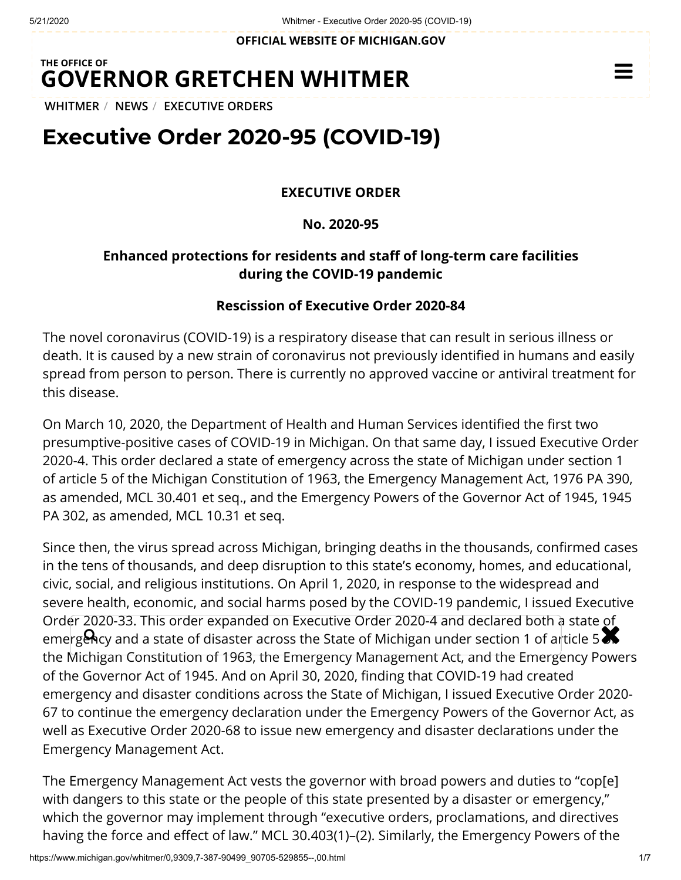**OFFICIAL WEBSITE OF [MICHIGAN.GOV](https://www.michigan.gov/)**

## **THE OFFICE OF GOVERNOR [GRETCHEN WHITMER](https://www.michigan.gov/whitmer/)**

**[WHITMER](https://www.michigan.gov/whitmer/)** / **[NEWS](https://www.michigan.gov/whitmer/0,9309,7-387-90499---,00.html)** / **[EXECUTIVE ORDERS](https://www.michigan.gov/whitmer/0,9309,7-387-90499_90705---,00.html)**

# **Executive Order 2020-95 (COVID-19)**

#### **EXECUTIVE ORDER**

**No. 2020-95**

## **Enhanced protections for residents and staff of long-term care facilities during the COVID-19 pandemic**

#### **Rescission of Executive Order 2020-84**

The novel coronavirus (COVID-19) is a respiratory disease that can result in serious illness or death. It is caused by a new strain of coronavirus not previously identified in humans and easily spread from person to person. There is currently no approved vaccine or antiviral treatment for this disease.

On March 10, 2020, the Department of Health and Human Services identified the first two presumptive-positive cases of COVID-19 in Michigan. On that same day, I issued Executive Order 2020-4. This order declared a state of emergency across the state of Michigan under section 1 of article 5 of the Michigan Constitution of 1963, the Emergency Management Act, 1976 PA 390, as amended, MCL 30.401 et seq., and the Emergency Powers of the Governor Act of 1945, 1945 PA 302, as amended, MCL 10.31 et seq.

Since then, the virus spread across Michigan, bringing deaths in the thousands, confirmed cases in the tens of thousands, and deep disruption to this state's economy, homes, and educational, civic, social, and religious institutions. On April 1, 2020, in response to the widespread and severe health, economic, and social harms posed by the COVID-19 pandemic, I issued Executive Order 2020-33. This order expanded on Executive Order 2020-4 and declared both a state of order 2020-33. This order expanded on Executive Order 2020-4 and decided both a state of<br>emergency and a state of disaster across the State of Michigan under section 1 of article 5 the Michigan Constitution of 1963, the Emergency Management Act, and the Emergency Powers of the Governor Act of 1945. And on April 30, 2020, finding that COVID-19 had created emergency and disaster conditions across the State of Michigan, I issued Executive Order 2020- 67 to continue the emergency declaration under the Emergency Powers of the Governor Act, as well as Executive Order 2020-68 to issue new emergency and disaster declarations under the Emergency Management Act.

The Emergency Management Act vests the governor with broad powers and duties to "cop[e] with dangers to this state or the people of this state presented by a disaster or emergency," which the governor may implement through "executive orders, proclamations, and directives having the force and effect of law." MCL 30.403(1)–(2). Similarly, the Emergency Powers of the

 $\equiv$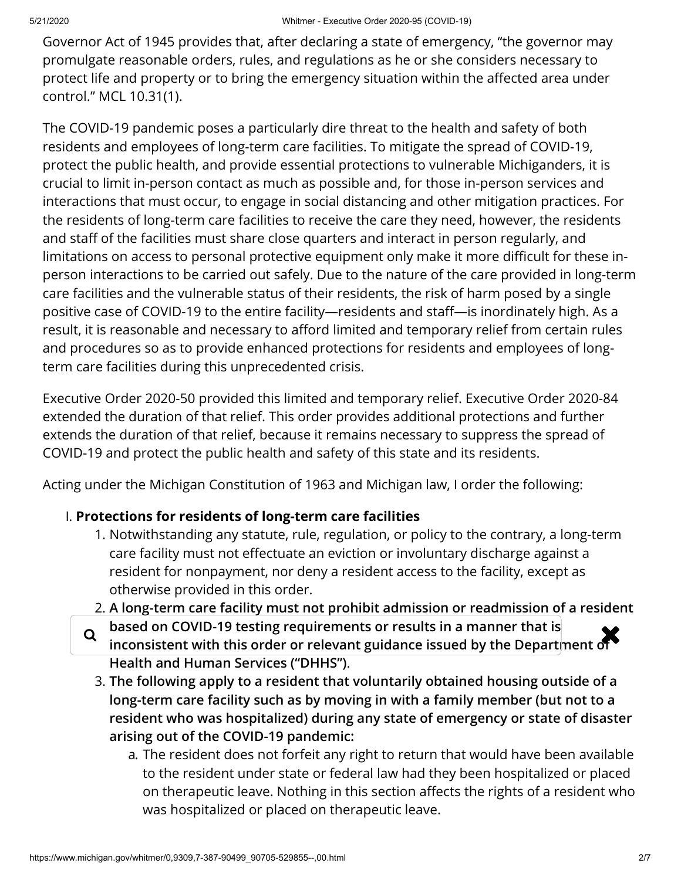Governor Act of 1945 provides that, after declaring a state of emergency, "the governor may promulgate reasonable orders, rules, and regulations as he or she considers necessary to protect life and property or to bring the emergency situation within the affected area under control." MCL 10.31(1).

The COVID-19 pandemic poses a particularly dire threat to the health and safety of both residents and employees of long-term care facilities. To mitigate the spread of COVID-19, protect the public health, and provide essential protections to vulnerable Michiganders, it is crucial to limit in-person contact as much as possible and, for those in-person services and interactions that must occur, to engage in social distancing and other mitigation practices. For the residents of long-term care facilities to receive the care they need, however, the residents and staff of the facilities must share close quarters and interact in person regularly, and limitations on access to personal protective equipment only make it more difficult for these inperson interactions to be carried out safely. Due to the nature of the care provided in long-term care facilities and the vulnerable status of their residents, the risk of harm posed by a single positive case of COVID-19 to the entire facility—residents and staff—is inordinately high. As a result, it is reasonable and necessary to afford limited and temporary relief from certain rules and procedures so as to provide enhanced protections for residents and employees of longterm care facilities during this unprecedented crisis.

Executive Order 2020-50 provided this limited and temporary relief. Executive Order 2020-84 extended the duration of that relief. This order provides additional protections and further extends the duration of that relief, because it remains necessary to suppress the spread of COVID-19 and protect the public health and safety of this state and its residents.

Acting under the Michigan Constitution of 1963 and Michigan law, I order the following:

#### I. **Protections for residents of long-term care facilities**

- 1. Notwithstanding any statute, rule, regulation, or policy to the contrary, a long-term care facility must not effectuate an eviction or involuntary discharge against a resident for nonpayment, nor deny a resident access to the facility, except as otherwise provided in this order.
- 2. **A long-term care facility must not prohibit admission or readmission of a resident based on COVID-19 testing requirements or results in a manner that is i** based on COVID-19 testing requirements or results in a manner that is **the Department of**  $\bullet$ **Health and Human Services ("DHHS")**.
	- 3. **The following apply to a resident that voluntarily obtained housing outside of a long-term care facility such as by moving in with a family member (but not to a resident who was hospitalized) during any state of emergency or state of disaster arising out of the COVID-19 pandemic:**
		- a. The resident does not forfeit any right to return that would have been available to the resident under state or federal law had they been hospitalized or placed on therapeutic leave. Nothing in this section affects the rights of a resident who was hospitalized or placed on therapeutic leave.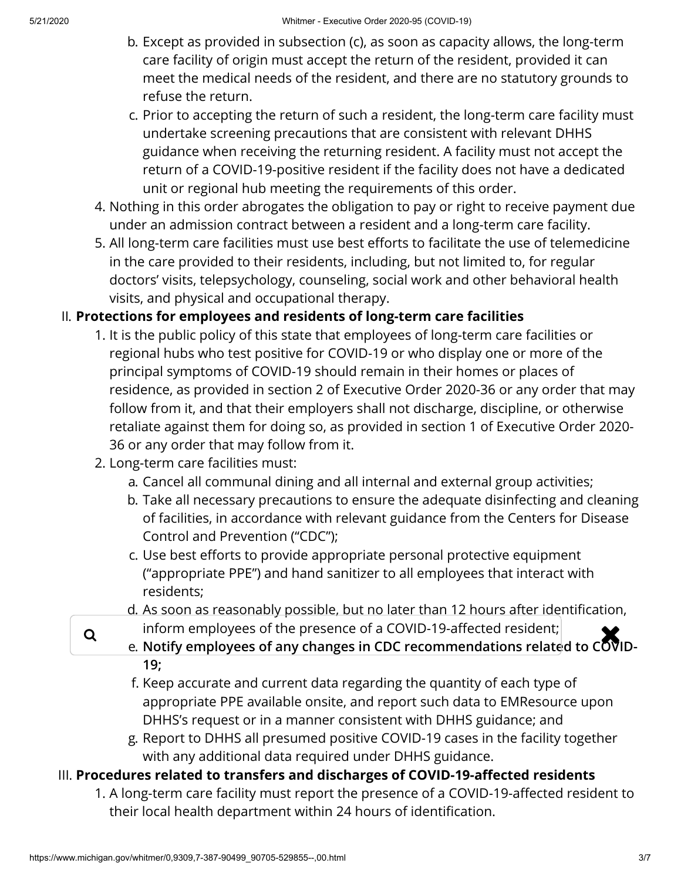- b. Except as provided in subsection (c), as soon as capacity allows, the long-term care facility of origin must accept the return of the resident, provided it can meet the medical needs of the resident, and there are no statutory grounds to refuse the return.
- c. Prior to accepting the return of such a resident, the long-term care facility must undertake screening precautions that are consistent with relevant DHHS guidance when receiving the returning resident. A facility must not accept the return of a COVID-19-positive resident if the facility does not have a dedicated unit or regional hub meeting the requirements of this order.
- 4. Nothing in this order abrogates the obligation to pay or right to receive payment due under an admission contract between a resident and a long-term care facility.
- 5. All long-term care facilities must use best efforts to facilitate the use of telemedicine in the care provided to their residents, including, but not limited to, for regular doctors' visits, telepsychology, counseling, social work and other behavioral health visits, and physical and occupational therapy.

## II. **Protections for employees and residents of long-term care facilities**

- 1. It is the public policy of this state that employees of long-term care facilities or regional hubs who test positive for COVID-19 or who display one or more of the principal symptoms of COVID-19 should remain in their homes or places of residence, as provided in section 2 of Executive Order 2020-36 or any order that may follow from it, and that their employers shall not discharge, discipline, or otherwise retaliate against them for doing so, as provided in section 1 of Executive Order 2020- 36 or any order that may follow from it.
- 2. Long-term care facilities must:
	- a. Cancel all communal dining and all internal and external group activities;
	- b. Take all necessary precautions to ensure the adequate disinfecting and cleaning of facilities, in accordance with relevant guidance from the Centers for Disease Control and Prevention ("CDC");
	- c. Use best efforts to provide appropriate personal protective equipment ("appropriate PPE") and hand sanitizer to all employees that interact with residents;
	- d. As soon as reasonably possible, but no later than 12 hours after identification,
- q inform employees of the presence of a COVID-19-affected resident;<br>a Notify employees of any changes in CDC recommendations related to COV
	- e. **Notify employees of any changes in CDC recommendations related to COVID-19;**
	- f. Keep accurate and current data regarding the quantity of each type of appropriate PPE available onsite, and report such data to EMResource upon DHHS's request or in a manner consistent with DHHS guidance; and
	- g. Report to DHHS all presumed positive COVID-19 cases in the facility together with any additional data required under DHHS guidance.

## III. Procedures related to transfers and discharges of COVID-19-affected residents

1. A long-term care facility must report the presence of a COVID-19-affected resident to their local health department within 24 hours of identification.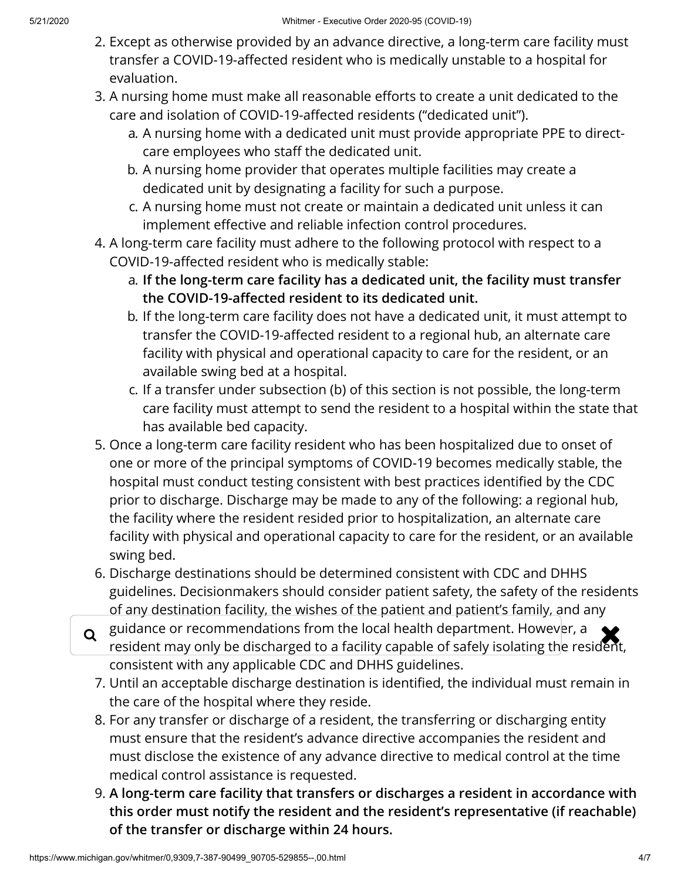- 2. Except as otherwise provided by an advance directive, a long-term care facility must transfer a COVID-19-affected resident who is medically unstable to a hospital for evaluation.
- 3. A nursing home must make all reasonable efforts to create a unit dedicated to the care and isolation of COVID-19-affected residents ("dedicated unit").
	- a. A nursing home with a dedicated unit must provide appropriate PPE to directcare employees who staff the dedicated unit.
	- b. A nursing home provider that operates multiple facilities may create a dedicated unit by designating a facility for such a purpose.
	- c. A nursing home must not create or maintain a dedicated unit unless it can implement effective and reliable infection control procedures.
- 4. A long-term care facility must adhere to the following protocol with respect to a COVID-19-affected resident who is medically stable:
	- a. **If the long-term care facility has a dedicated unit, the facility must transfer** the COVID-19-affected resident to its dedicated unit.
	- b. If the long-term care facility does not have a dedicated unit, it must attempt to transfer the COVID-19-affected resident to a regional hub, an alternate care facility with physical and operational capacity to care for the resident, or an available swing bed at a hospital.
	- c. If a transfer under subsection (b) of this section is not possible, the long-term care facility must attempt to send the resident to a hospital within the state that has available bed capacity.
- 5. Once a long-term care facility resident who has been hospitalized due to onset of one or more of the principal symptoms of COVID-19 becomes medically stable, the hospital must conduct testing consistent with best practices identified by the CDC prior to discharge. Discharge may be made to any of the following: a regional hub, the facility where the resident resided prior to hospitalization, an alternate care facility with physical and operational capacity to care for the resident, or an available swing bed.
- 6. Discharge destinations should be determined consistent with CDC and DHHS guidelines. Decisionmakers should consider patient safety, the safety of the residents of any destination facility, the wishes of the patient and patient's family, and any
- guidance or recommendations from the local health department. However, a **the set of the set of the set of the set of the set of the set of the set of the set of the resident** resident may only be discharged to a facility capable of safely isolating the resident, consistent with any applicable CDC and DHHS guidelines.
	- 7. Until an acceptable discharge destination is identified, the individual must remain in the care of the hospital where they reside.
	- 8. For any transfer or discharge of a resident, the transferring or discharging entity must ensure that the resident's advance directive accompanies the resident and must disclose the existence of any advance directive to medical control at the time medical control assistance is requested.
	- 9. **A long-term care facility that transfers or discharges a resident in accordance with this order must notify the resident and the resident's representative (if reachable) of the transfer or discharge within 24 hours.**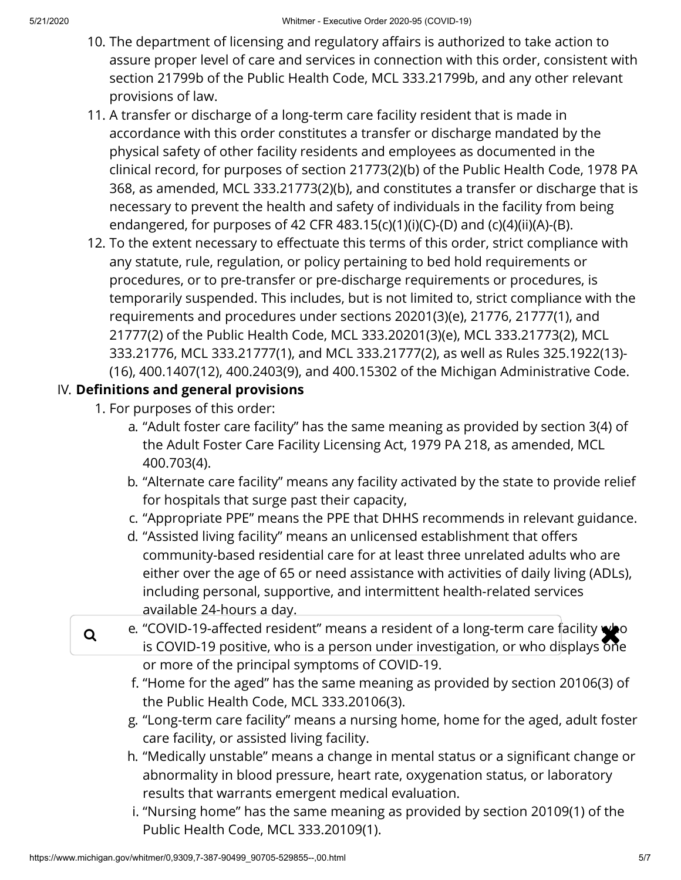- 10. The department of licensing and regulatory affairs is authorized to take action to assure proper level of care and services in connection with this order, consistent with section 21799b of the Public Health Code, MCL 333.21799b, and any other relevant provisions of law.
- 11. A transfer or discharge of a long-term care facility resident that is made in accordance with this order constitutes a transfer or discharge mandated by the physical safety of other facility residents and employees as documented in the clinical record, for purposes of section 21773(2)(b) of the Public Health Code, 1978 PA 368, as amended, MCL 333.21773(2)(b), and constitutes a transfer or discharge that is necessary to prevent the health and safety of individuals in the facility from being endangered, for purposes of 42 CFR 483.15(c)(1)(i)(C)-(D) and (c)(4)(ii)(A)-(B).
- 12. To the extent necessary to effectuate this terms of this order, strict compliance with any statute, rule, regulation, or policy pertaining to bed hold requirements or procedures, or to pre-transfer or pre-discharge requirements or procedures, is temporarily suspended. This includes, but is not limited to, strict compliance with the requirements and procedures under sections 20201(3)(e), 21776, 21777(1), and 21777(2) of the Public Health Code, MCL 333.20201(3)(e), MCL 333.21773(2), MCL 333.21776, MCL 333.21777(1), and MCL 333.21777(2), as well as Rules 325.1922(13)- (16), 400.1407(12), 400.2403(9), and 400.15302 of the Michigan Administrative Code.

## IV. Definitions and general provisions

- 1. For purposes of this order:
	- a. "Adult foster care facility" has the same meaning as provided by section 3(4) of the Adult Foster Care Facility Licensing Act, 1979 PA 218, as amended, MCL 400.703(4).
	- b. "Alternate care facility" means any facility activated by the state to provide relief for hospitals that surge past their capacity,
	- c. "Appropriate PPE" means the PPE that DHHS recommends in relevant guidance.
	- d. "Assisted living facility" means an unlicensed establishment that offers community-based residential care for at least three unrelated adults who are either over the age of 65 or need assistance with activities of daily living (ADLs), including personal, supportive, and intermittent health-related services available 24-hours a day.
- e. "COVID-19-affected resident" means a resident of a long-term care facility who<br>is COVID-19 positive, who is a person under investigation, or who displays one is COVID-19 positive, who is a person under investigation, or who displays  $\delta$ ne or more of the principal symptoms of COVID-19.
	- f. "Home for the aged" has the same meaning as provided by section 20106(3) of the Public Health Code, MCL 333.20106(3).
	- g. "Long-term care facility" means a nursing home, home for the aged, adult foster care facility, or assisted living facility.
	- h. "Medically unstable" means a change in mental status or a significant change or abnormality in blood pressure, heart rate, oxygenation status, or laboratory results that warrants emergent medical evaluation.
	- i. "Nursing home" has the same meaning as provided by section 20109(1) of the Public Health Code, MCL 333.20109(1).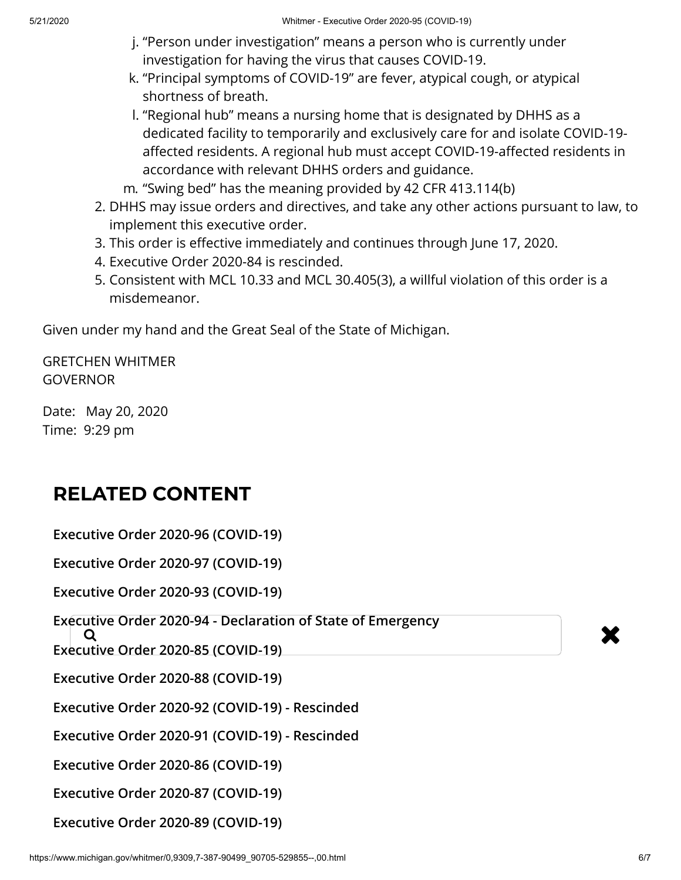- j. "Person under investigation" means a person who is currently under investigation for having the virus that causes COVID-19.
- k. "Principal symptoms of COVID-19" are fever, atypical cough, or atypical shortness of breath.
- l. "Regional hub" means a nursing home that is designated by DHHS as a dedicated facility to temporarily and exclusively care for and isolate COVID-19 affected residents. A regional hub must accept COVID-19-affected residents in accordance with relevant DHHS orders and guidance.
- m. "Swing bed" has the meaning provided by 42 CFR 413.114(b)
- 2. DHHS may issue orders and directives, and take any other actions pursuant to law, to implement this executive order.
- 3. This order is effective immediately and continues through June 17, 2020.
- 4. Executive Order 2020-84 is rescinded.
- 5. Consistent with MCL 10.33 and MCL 30.405(3), a willful violation of this order is a misdemeanor.

Given under my hand and the Great Seal of the State of Michigan.

GRETCHEN WHITMER **GOVERNOR** 

Date: May 20, 2020 Time: 9:29 pm

## **RELATED CONTENT**

**[Executive Order 2020-96 \(COVID-19\)](https://www.michigan.gov/whitmer/0,9309,7-387-90499_90705-529860--,00.html) [Executive Order 2020-97 \(COVID-19\)](https://www.michigan.gov/whitmer/0,9309,7-387-90499_90705-529864--,00.html)**

**[Executive Order 2020-93 \(COVID-19\)](https://www.michigan.gov/whitmer/0,9309,7-387-90499_90705-529730--,00.html)**

**[Executive Order 2020-94 - Declaration of State of Emergency](https://www.michigan.gov/whitmer/0,9309,7-387-90499_90705-529649--,00.html)<br>
Q<br>
Executive Order 2020 OF (COVID-10)** 

**[Executive Order 2020-85 \(COVID-19\)](https://www.michigan.gov/whitmer/0,9309,7-387-90499_90705-529459--,00.html)**

**[Executive Order 2020-88 \(COVID-19\)](https://www.michigan.gov/whitmer/0,9309,7-387-90499_90705-529456--,00.html)**

**[Executive Order 2020-92 \(COVID-19\) - Rescinded](https://www.michigan.gov/whitmer/0,9309,7-387-90499_90705-529476--,00.html)**

**[Executive Order 2020-91 \(COVID-19\) - Rescinded](https://www.michigan.gov/whitmer/0,9309,7-387-90499_90705-529474--,00.html)**

**[Executive Order 2020-86 \(COVID-19\)](https://www.michigan.gov/whitmer/0,9309,7-387-90499_90705-529458--,00.html)**

**[Executive Order 2020-87 \(COVID-19\)](https://www.michigan.gov/whitmer/0,9309,7-387-90499_90705-529457--,00.html)**

**[Executive Order 2020-89 \(COVID-19\)](https://www.michigan.gov/whitmer/0,9309,7-387-90499_90705-529455--,00.html)**